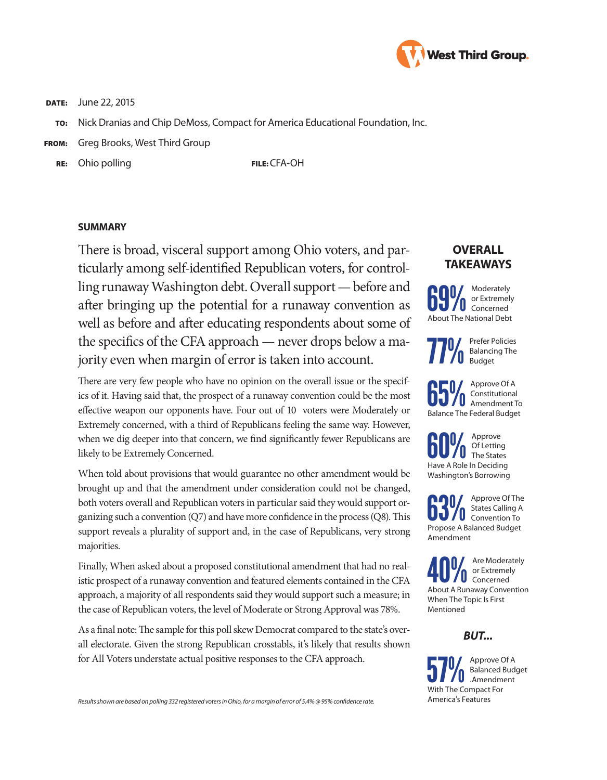

DATE: June 22, 2015

- To: Nick Dranias and Chip DeMoss, Compact for America Educational Foundation, Inc.
- FROM: Greg Brooks, West Third Group

RE: Ohio polling The Second Contract CFA-OH

## **SUMMARY**

There is broad, visceral support among Ohio voters, and particularly among self-identified Republican voters, for controlling runaway Washington debt. Overall support — before and after bringing up the potential for a runaway convention as well as before and after educating respondents about some of the specifics of the CFA approach — never drops below a majority even when margin of error is taken into account.

There are very few people who have no opinion on the overall issue or the specifics of it. Having said that, the prospect of a runaway convention could be the most effective weapon our opponents have. Four out of 10 voters were Moderately or Extremely concerned, with a third of Republicans feeling the same way. However, when we dig deeper into that concern, we find significantly fewer Republicans are likely to be Extremely Concerned.

When told about provisions that would guarantee no other amendment would be brought up and that the amendment under consideration could not be changed, both voters overall and Republican voters in particular said they would support organizing such a convention (Q7) and have more confidence in the process (Q8). This support reveals a plurality of support and, in the case of Republicans, very strong majorities.

Finally, When asked about a proposed constitutional amendment that had no realistic prospect of a runaway convention and featured elements contained in the CFA approach, a majority of all respondents said they would support such a measure; in the case of Republican voters, the level of Moderate or Strong Approval was 78%.

As a final note: The sample for this poll skew Democrat compared to the state's overall electorate. Given the strong Republican crosstabls, it's likely that results shown for All Voters understate actual positive responses to the CFA approach.

#### *Results shown are based on polling 332 registered voters in Ohio, for a margin of error of 5.4% @ 95% confidence rate.*

# **OVERALL TAKEAWAYS**



**77%** Prefer Policies<br>**77%** Balancing The<br>Budget Balancing The Budget

**65%** Approve Of A<br> **Amendment To**<br> **Annendment To**<br> **Annendment To** Constitutional Balance The Federal Budget

**60%** Approve<br>The States<br>Have A Pole in Deciding Of Letting Have A Role In Deciding Washington's Borrowing

**63%** Approve Of The States Calling A States Calling A Propose A Balanced Budget Amendment

**Are Moderately<br>About A Runaway Convention** or Extremely Concerned When The Topic Is First Mentioned

# *BUT...*

Sprove Of A<br>Balanced Budg<br>Mith The Compact Form Balanced Budget .Amendment With The Compact For America's Features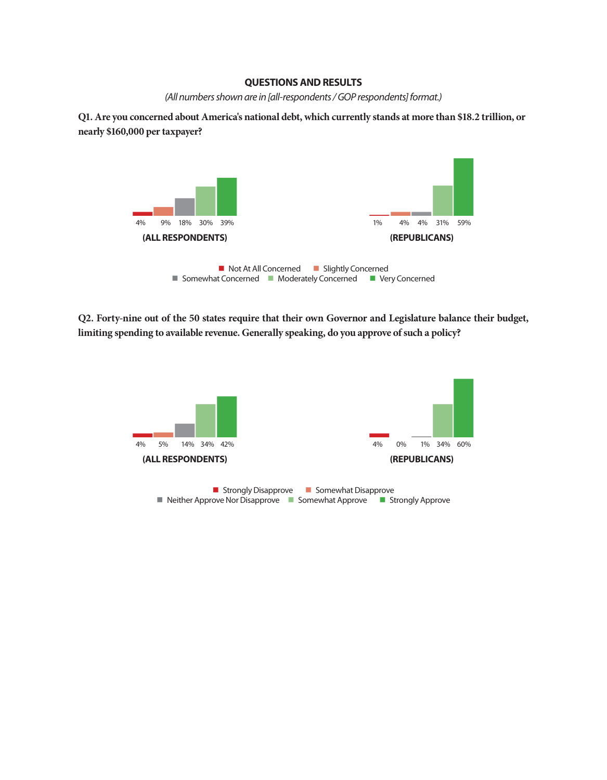## **QUESTIONS AND RESULTS**

*(All numbers shown are in [all-respondents / GOP respondents] format.)*

**Q1. Are you concerned about America's national debt, which currently stands at more than \$18.2 trillion, or nearly \$160,000 per taxpayer?**



**Q2. Forty-nine out of the 50 states require that their own Governor and Legislature balance their budget, limiting spending to available revenue. Generally speaking, do you approve of such a policy?**



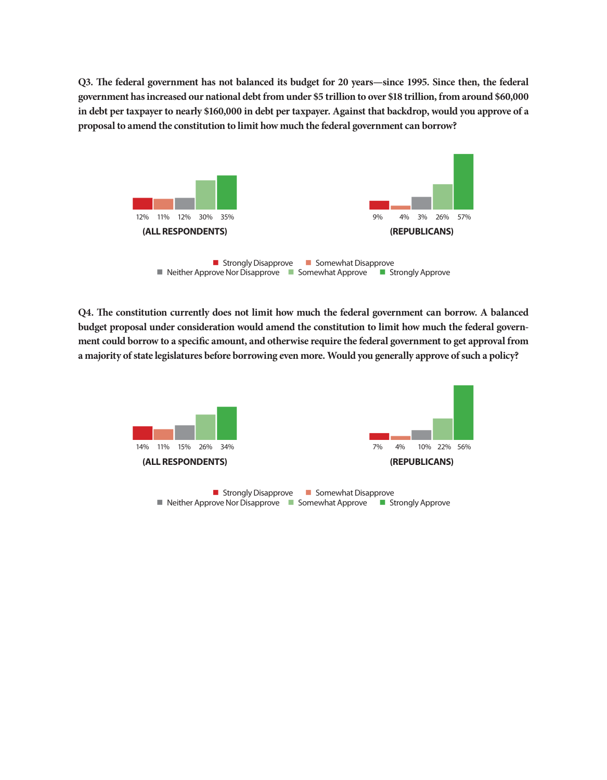**Q3. The federal government has not balanced its budget for 20 years—since 1995. Since then, the federal government has increased our national debt from under \$5 trillion to over \$18 trillion, from around \$60,000 in debt per taxpayer to nearly \$160,000 in debt per taxpayer. Against that backdrop, would you approve of a proposal to amend the constitution to limit how much the federal government can borrow?**



**Q4. The constitution currently does not limit how much the federal government can borrow. A balanced budget proposal under consideration would amend the constitution to limit how much the federal government could borrow to a specific amount, and otherwise require the federal government to get approval from a majority of state legislatures before borrowing even more. Would you generally approve of such a policy?**

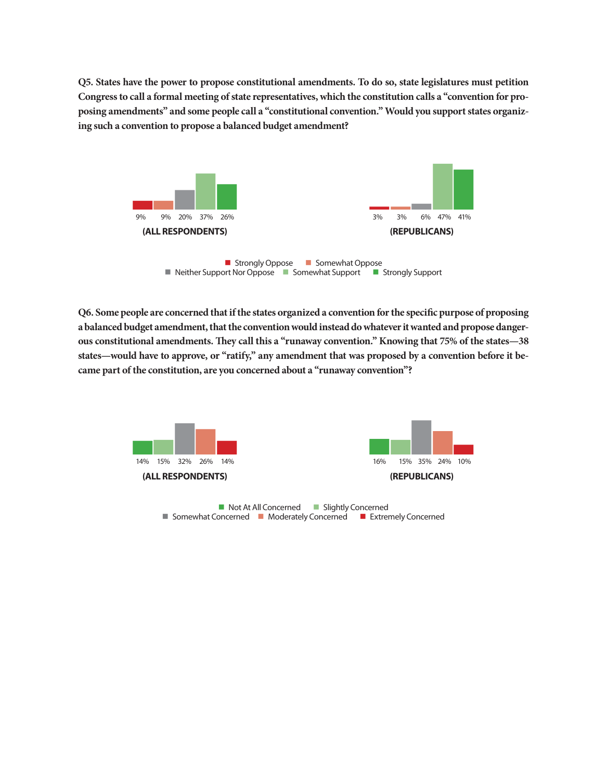**Q5. States have the power to propose constitutional amendments. To do so, state legislatures must petition Congress to call a formal meeting of state representatives, which the constitution calls a "convention for proposing amendments" and some people call a "constitutional convention." Would you support states organizing such a convention to propose a balanced budget amendment?**



**Q6. Some people are concerned that if the states organized a convention for the specific purpose of proposing a balanced budget amendment, that the convention would instead do whatever it wanted and propose dangerous constitutional amendments. They call this a "runaway convention." Knowing that 75% of the states—38 states—would have to approve, or "ratify," any amendment that was proposed by a convention before it became part of the constitution, are you concerned about a "runaway convention"?**



■ Not At All Concerned ■ Slightly Concerned ■ Somewhat Concerned ■ Moderately Concerned ■ Extremely Concerned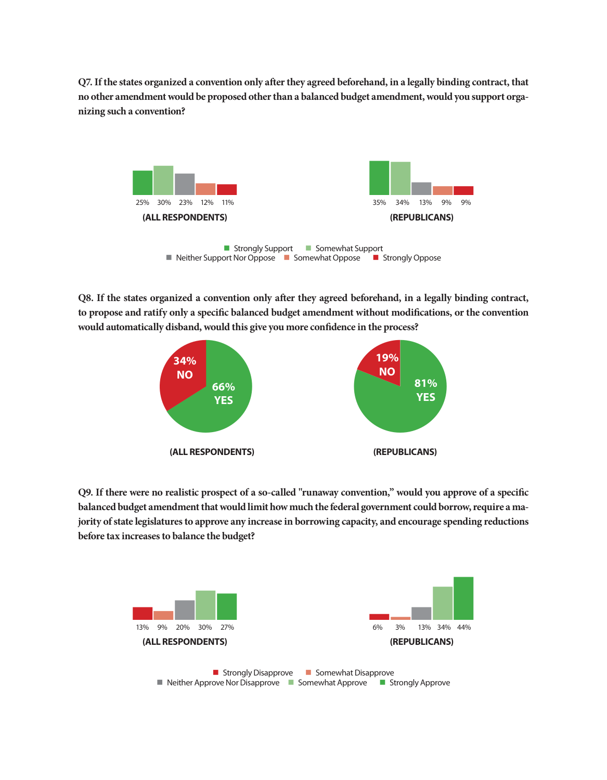**Q7. If the states organized a convention only after they agreed beforehand, in a legally binding contract, that no other amendment would be proposed other than a balanced budget amendment, would you support organizing such a convention?** 



**Q8. If the states organized a convention only after they agreed beforehand, in a legally binding contract, to propose and ratify only a specific balanced budget amendment without modifications, or the convention would automatically disband, would this give you more confidence in the process?**



**Q9. If there were no realistic prospect of a so-called "runaway convention," would you approve of a specific balanced budget amendment that would limit how much the federal government could borrow, require a majority of state legislatures to approve any increase in borrowing capacity, and encourage spending reductions before tax increases to balance the budget?**